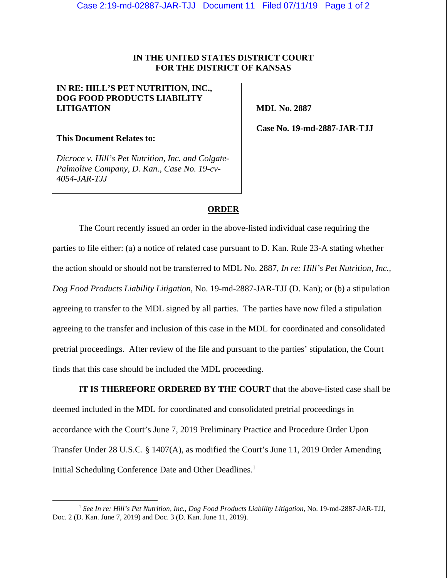## **IN THE UNITED STATES DISTRICT COURT FOR THE DISTRICT OF KANSAS**

## **IN RE: HILL'S PET NUTRITION, INC., DOG FOOD PRODUCTS LIABILITY LITIGATION**

 **MDL No. 2887** 

**This Document Relates to:** 

*Dicroce v. Hill's Pet Nutrition, Inc. and Colgate-Palmolive Company, D. Kan., Case No. 19-cv-4054-JAR-TJJ* 

 **Case No. 19-md-2887-JAR-TJJ** 

## **ORDER**

The Court recently issued an order in the above-listed individual case requiring the parties to file either: (a) a notice of related case pursuant to D. Kan. Rule 23-A stating whether the action should or should not be transferred to MDL No. 2887, *In re: Hill's Pet Nutrition, Inc., Dog Food Products Liability Litigation*, No. 19-md-2887-JAR-TJJ (D. Kan); or (b) a stipulation agreeing to transfer to the MDL signed by all parties. The parties have now filed a stipulation agreeing to the transfer and inclusion of this case in the MDL for coordinated and consolidated pretrial proceedings. After review of the file and pursuant to the parties' stipulation, the Court finds that this case should be included the MDL proceeding.

**IT IS THEREFORE ORDERED BY THE COURT** that the above-listed case shall be deemed included in the MDL for coordinated and consolidated pretrial proceedings in accordance with the Court's June 7, 2019 Preliminary Practice and Procedure Order Upon Transfer Under 28 U.S.C. § 1407(A), as modified the Court's June 11, 2019 Order Amending Initial Scheduling Conference Date and Other Deadlines.<sup>1</sup>

 <sup>1</sup> *See In re: Hill's Pet Nutrition, Inc., Dog Food Products Liability Litigation*, No. 19-md-2887-JAR-TJJ, Doc. 2 (D. Kan. June 7, 2019) and Doc. 3 (D. Kan. June 11, 2019).